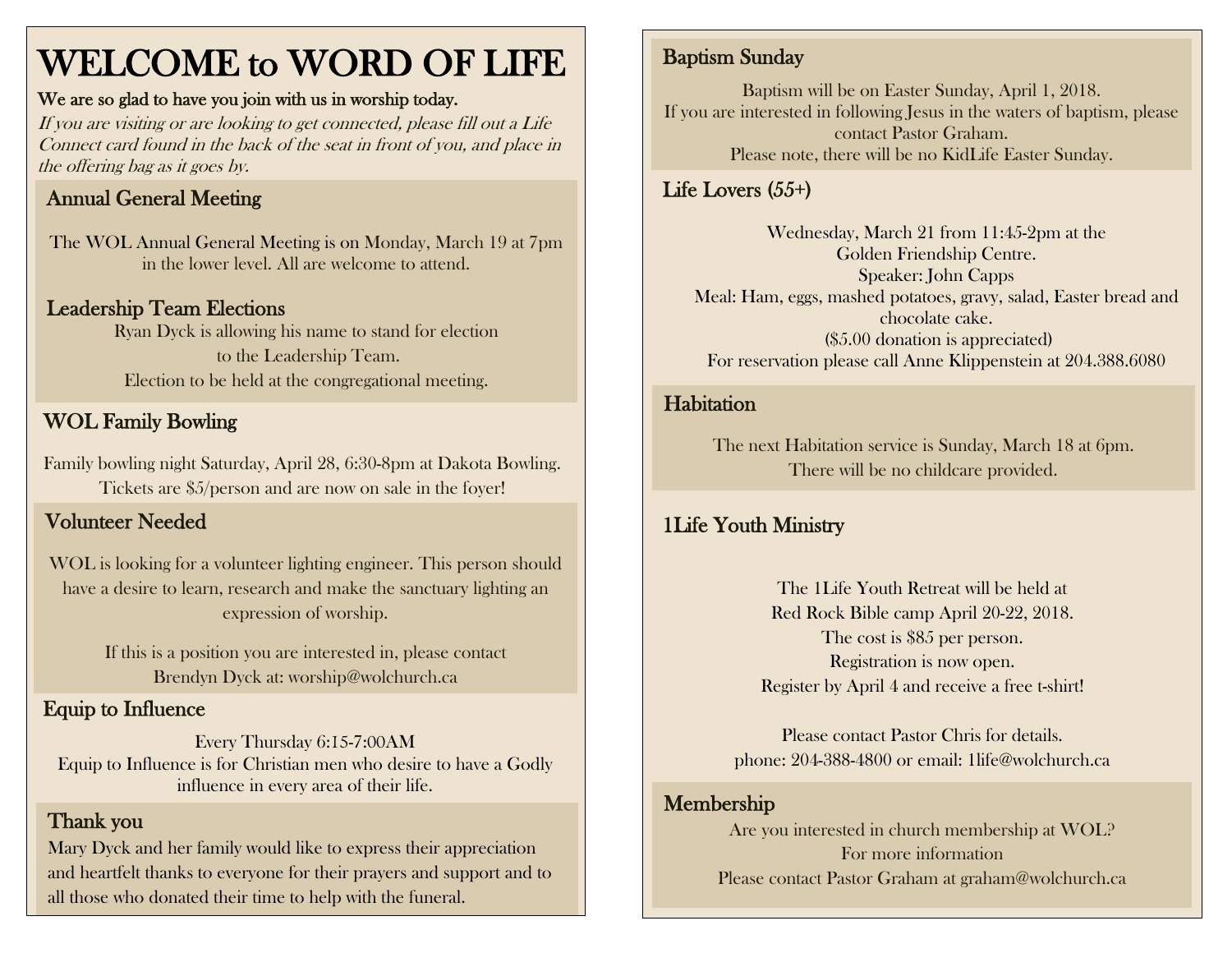## WELCOME to WORD OF LIFE

#### We are so glad to have you join with us in worship today.

If you are visiting or are looking to get connected, please fill out a Life Connect card found in the back of the seat in front of you, and place in the offering bag as it goes by.

## Annual General Meeting

The WOL Annual General Meeting is on Monday, March 19 at 7pm in the lower level. All are welcome to attend.

#### Leadership Team Elections

Ryan Dyck is allowing his name to stand for election to the Leadership Team. Election to be held at the congregational meeting.

## WOL Family Bowling

 Family bowling night Saturday, April 28, 6:30-8pm at Dakota Bowling. Tickets are \$5/person and are now on sale in the foyer!

### Volunteer Needed

WOL is looking for a volunteer lighting engineer. This person should have a desire to learn, research and make the sanctuary lighting an expression of worship.

> If this is a position you are interested in, please contact Brendyn Dyck at: worship@wolchurch.ca

## Equip to Influence

Every Thursday 6:15-7:00AM Equip to Influence is for Christian men who desire to have a Godly influence in every area of their life.

#### Thank you

Mary Dyck and her family would like to express their appreciation and heartfelt thanks to everyone for their prayers and support and to all those who donated their time to help with the funeral.

## Baptism Sunday

Baptism will be on Easter Sunday, April 1, 2018. If you are interested in following Jesus in the waters of baptism, please contact Pastor Graham. Please note, there will be no KidLife Easter Sunday.

## Life Lovers (55+)

Wednesday, March 21 from 11:45-2pm at the Golden Friendship Centre. Speaker: John Capps Meal: Ham, eggs, mashed potatoes, gravy, salad, Easter bread and chocolate cake. (\$5.00 donation is appreciated) For reservation please call Anne Klippenstein at 204.388.6080

#### **Habitation**

The next Habitation service is Sunday, March 18 at 6pm. There will be no childcare provided.

### 1Life Youth Ministry

The 1Life Youth Retreat will be held at Red Rock Bible camp April 20-22, 2018. The cost is \$85 per person. Registration is now open. Register by April 4 and receive a free t-shirt!

Please contact Pastor Chris for details. phone: 204-388-4800 or email: 1life@wolchurch.ca

#### Membership

Are you interested in church membership at WOL? For more information Please contact Pastor Graham at graham@wolchurch.ca